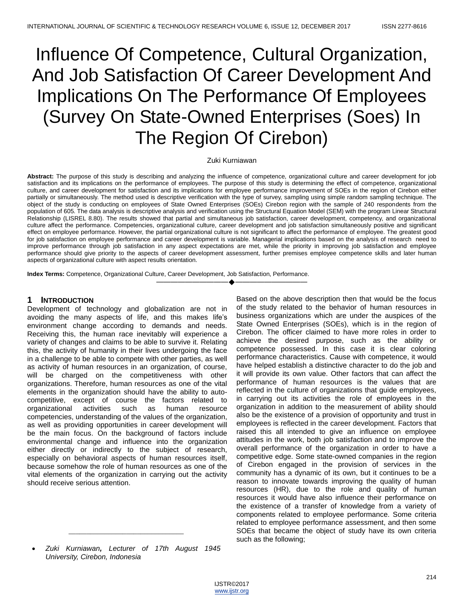# Influence Of Competence, Cultural Organization, And Job Satisfaction Of Career Development And Implications On The Performance Of Employees (Survey On State-Owned Enterprises (Soes) In The Region Of Cirebon)

## Zuki Kurniawan

**Abstract:** The purpose of this study is describing and analyzing the influence of competence, organizational culture and career development for job satisfaction and its implications on the performance of employees. The purpose of this study is determining the effect of competence, organizational culture, and career development for satisfaction and its implications for employee performance improvement of SOEs in the region of Cirebon either partially or simultaneously. The method used is descriptive verification with the type of survey, sampling using simple random sampling technique. The object of the study is conducting on employees of State Owned Enterprises (SOEs) Cirebon region with the sample of 240 respondents from the population of 605. The data analysis is descriptive analysis and verification using the Structural Equation Model (SEM) with the program Linear Structural Relationship (LISREL 8.80). The results showed that partial and simultaneous job satisfaction, career development, competency, and organizational culture affect the performance. Competencies, organizational culture, career development and job satisfaction simultaneously positive and significant effect on employee performance. However, the partial organizational culture is not significant to affect the performance of employee. The greatest good for job satisfaction on employee performance and career development is variable. Managerial implications based on the analysis of research need to improve performance through job satisfaction in any aspect expectations are met, while the priority in improving job satisfaction and employee performance should give priority to the aspects of career development assessment, further premises employee competence skills and later human aspects of organizational culture with aspect results orientation.

————————————————————

**Index Terms:** Competence, Organizational Culture, Career Development, Job Satisfaction, Performance.

# **1 INTRODUCTION**

Development of technology and globalization are not in avoiding the many aspects of life, and this makes life's environment change according to demands and needs. Receiving this, the human race inevitably will experience a variety of changes and claims to be able to survive it. Relating this, the activity of humanity in their lives undergoing the face in a challenge to be able to compete with other parties, as well as activity of human resources in an organization, of course, will be charged on the competitiveness with other organizations. Therefore, human resources as one of the vital elements in the organization should have the ability to autocompetitive, except of course the factors related to organizational activities such as human resource competencies, understanding of the values of the organization, as well as providing opportunities in career development will be the main focus. On the background of factors include environmental change and influence into the organization either directly or indirectly to the subject of research, especially on behavioral aspects of human resources itself, because somehow the role of human resources as one of the vital elements of the organization in carrying out the activity should receive serious attention.

 *Zuki Kurniawan, Lecturer of 17th August 1945 University, Cirebon, Indonesia*

\_\_\_\_\_\_\_\_\_\_\_\_\_\_\_\_\_\_\_\_\_\_\_\_\_\_\_\_\_\_\_\_

Based on the above description then that would be the focus of the study related to the behavior of human resources in business organizations which are under the auspices of the State Owned Enterprises (SOEs), which is in the region of Cirebon. The officer claimed to have more roles in order to achieve the desired purpose, such as the ability or competence possessed. In this case it is clear coloring performance characteristics. Cause with competence, it would have helped establish a distinctive character to do the job and it will provide its own value. Other factors that can affect the performance of human resources is the values that are reflected in the culture of organizations that guide employees, in carrying out its activities the role of employees in the organization in addition to the measurement of ability should also be the existence of a provision of opportunity and trust in employees is reflected in the career development. Factors that raised this all intended to give an influence on employee attitudes in the work, both job satisfaction and to improve the overall performance of the organization in order to have a competitive edge. Some state-owned companies in the region of Cirebon engaged in the provision of services in the community has a dynamic of its own, but it continues to be a reason to innovate towards improving the quality of human resources (HR), due to the role and quality of human resources it would have also influence their performance on the existence of a transfer of knowledge from a variety of components related to employee performance. Some criteria related to employee performance assessment, and then some SOEs that became the object of study have its own criteria such as the following;

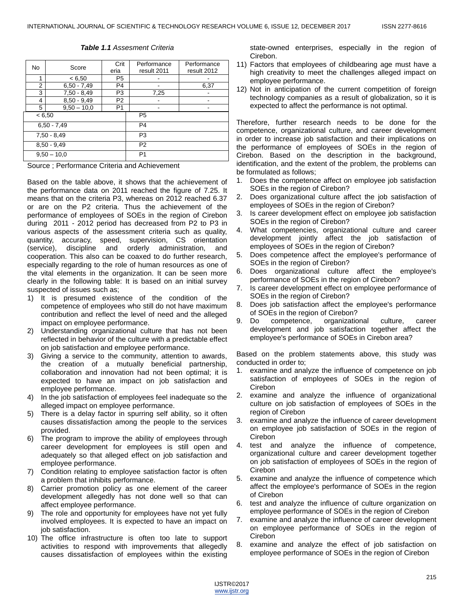## *Table 1.1 Assesment Criteria*

| No            | Score         | Crit<br>eria   | Performance<br>result 2011 | Performance<br>result 2012 |  |
|---------------|---------------|----------------|----------------------------|----------------------------|--|
| 1             | < 6,50        | P <sub>5</sub> |                            |                            |  |
| 2             | $6,50 - 7,49$ | P4             |                            | 6,37                       |  |
| 3             | $7,50 - 8,49$ | P3             | 7,25                       |                            |  |
| 4             | $8,50 - 9,49$ | P <sub>2</sub> |                            |                            |  |
| 5             | $9,50 - 10,0$ | P <sub>1</sub> |                            |                            |  |
| < 6,50        |               |                | P <sub>5</sub>             |                            |  |
|               | $6,50 - 7,49$ |                | P4                         |                            |  |
| $7,50 - 8,49$ |               |                | P <sub>3</sub>             |                            |  |
| $8,50 - 9,49$ |               |                | P <sub>2</sub>             |                            |  |
| $9,50 - 10,0$ |               |                | P <sub>1</sub>             |                            |  |

Source ; Performance Criteria and Achievement

Based on the table above, it shows that the achievement of the performance data on 2011 reached the figure of 7.25. It means that on the criteria P3, whereas on 2012 reached 6.37 or are on the P2 criteria. Thus the achievement of the performance of employees of SOEs in the region of Cirebon during 2011 - 2012 period has decreased from P2 to P3 in various aspects of the assessment criteria such as quality, quantity, accuracy, speed, supervision, CS orientation (service), discipline and orderly administration, and cooperation. This also can be coaxed to do further research, especially regarding to the role of human resources as one of the vital elements in the organization. It can be seen more clearly in the following table: It is based on an initial survey suspected of issues such as;

- 1) It is presumed existence of the condition of the competence of employees who still do not have maximum contribution and reflect the level of need and the alleged impact on employee performance.
- 2) Understanding organizational culture that has not been reflected in behavior of the culture with a predictable effect on job satisfaction and employee performance.
- 3) Giving a service to the community, attention to awards, the creation of a mutually beneficial partnership, collaboration and innovation had not been optimal; it is expected to have an impact on job satisfaction and employee performance.
- 4) In the job satisfaction of employees feel inadequate so the alleged impact on employee performance.
- 5) There is a delay factor in spurring self ability, so it often causes dissatisfaction among the people to the services provided.
- 6) The program to improve the ability of employees through career development for employees is still open and adequately so that alleged effect on job satisfaction and employee performance.
- 7) Condition relating to employee satisfaction factor is often a problem that inhibits performance.
- 8) Carrier promotion policy as one element of the career development allegedly has not done well so that can affect employee performance.
- 9) The role and opportunity for employees have not yet fully involved employees. It is expected to have an impact on job satisfaction.
- 10) The office infrastructure is often too late to support activities to respond with improvements that allegedly causes dissatisfaction of employees within the existing

state-owned enterprises, especially in the region of Cirebon.

- 11) Factors that employees of childbearing age must have a high creativity to meet the challenges alleged impact on employee performance.
- 12) Not in anticipation of the current competition of foreign technology companies as a result of globalization, so it is expected to affect the performance is not optimal.

Therefore, further research needs to be done for the competence, organizational culture, and career development in order to increase job satisfaction and their implications on the performance of employees of SOEs in the region of Cirebon. Based on the description in the background, identification, and the extent of the problem, the problems can be formulated as follows;

- 1. Does the competence affect on employee job satisfaction SOEs in the region of Cirebon?
- 2. Does organizational culture affect the job satisfaction of employees of SOEs in the region of Cirebon?
- 3. Is career development effect on employee job satisfaction SOEs in the region of Cirebon?
- 4. What competencies, organizational culture and career development jointly affect the job satisfaction of employees of SOEs in the region of Cirebon?
- 5. Does competence affect the employee's performance of SOEs in the region of Cirebon?
- 6. Does organizational culture affect the employee's performance of SOEs in the region of Cirebon?
- 7. Is career development effect on employee performance of SOEs in the region of Cirebon?
- 8. Does job satisfaction affect the employee's performance of SOEs in the region of Cirebon?<br>9. Do competence, organizatio
- competence, organizational culture, career development and job satisfaction together affect the employee's performance of SOEs in Cirebon area?

Based on the problem statements above, this study was conducted in order to;

- 1. examine and analyze the influence of competence on job satisfaction of employees of SOEs in the region of Cirebon
- 2. examine and analyze the influence of organizational culture on job satisfaction of employees of SOEs in the region of Cirebon
- 3. examine and analyze the influence of career development on employee job satisfaction of SOEs in the region of Cirebon
- 4. test and analyze the influence of competence, organizational culture and career development together on job satisfaction of employees of SOEs in the region of Cirebon
- 5. examine and analyze the influence of competence which affect the employee's performance of SOEs in the region of Cirebon
- 6. test and analyze the influence of culture organization on employee performance of SOEs in the region of Cirebon
- 7. examine and analyze the influence of career development on employee performance of SOEs in the region of Cirebon
- 8. examine and analyze the effect of job satisfaction on employee performance of SOEs in the region of Cirebon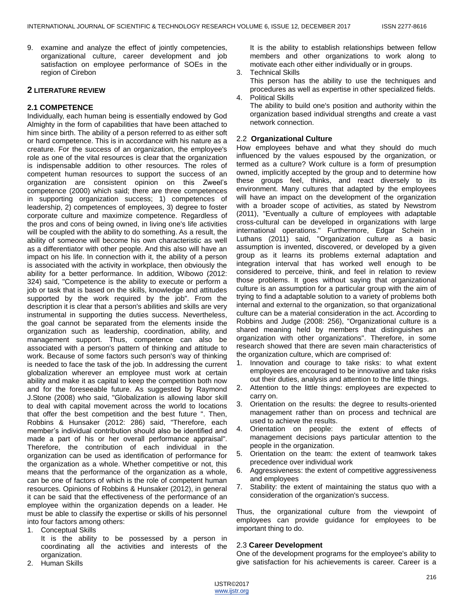9. examine and analyze the effect of jointly competencies, organizational culture, career development and job satisfaction on employee performance of SOEs in the region of Cirebon

# **2 LITERATURE REVIEW**

# **2.1 COMPETENCE**

Individually, each human being is essentially endowed by God Almighty in the form of capabilities that have been attached to him since birth. The ability of a person referred to as either soft or hard competence. This is in accordance with his nature as a creature. For the success of an organization, the employee's role as one of the vital resources is clear that the organization is indispensable addition to other resources. The roles of competent human resources to support the success of an organization are consistent opinion on this Zweel's competence (2000) which said; there are three competences in supporting organization success; 1) competences of leadership, 2) competences of employees, 3) degree to foster corporate culture and maximize competence. Regardless of the pros and cons of being owned, in living one's life activities will be coupled with the ability to do something. As a result, the ability of someone will become his own characteristic as well as a differentiator with other people. And this also will have an impact on his life. In connection with it, the ability of a person is associated with the activity in workplace, then obviously the ability for a better performance. In addition, Wibowo (2012: 324) said, "Competence is the ability to execute or perform a job or task that is based on the skills, knowledge and attitudes supported by the work required by the job". From the description it is clear that a person's abilities and skills are very instrumental in supporting the duties success. Nevertheless, the goal cannot be separated from the elements inside the organization such as leadership, coordination, ability, and management support. Thus, competence can also be associated with a person's pattern of thinking and attitude to work. Because of some factors such person's way of thinking is needed to face the task of the job. In addressing the current globalization wherever an employee must work at certain ability and make it as capital to keep the competition both now and for the foreseeable future. As suggested by Raymond J.Stone (2008) who said, "Globalization is allowing labor skill to deal with capital movement across the world to locations that offer the best competition and the best future ". Then, Robbins & Hunsaker (2012: 286) said, "Therefore, each member's individual contribution should also be identified and made a part of his or her overall performance appraisal". Therefore, the contribution of each individual in the organization can be used as identification of performance for the organization as a whole. Whether competitive or not, this means that the performance of the organization as a whole, can be one of factors of which is the role of competent human resources. Opinions of Robbins & Hunsaker (2012), in general it can be said that the effectiveness of the performance of an employee within the organization depends on a leader. He must be able to classify the expertise or skills of his personnel into four factors among others:

1. Conceptual Skills

It is the ability to be possessed by a person in coordinating all the activities and interests of the organization.

2. Human Skills

It is the ability to establish relationships between fellow members and other organizations to work along to motivate each other either individually or in groups.

3. Technical Skills

This person has the ability to use the techniques and procedures as well as expertise in other specialized fields.

4. Political Skills

The ability to build one's position and authority within the organization based individual strengths and create a vast network connection.

## 2.2 **Organizational Culture**

How employees behave and what they should do much influenced by the values espoused by the organization, or termed as a culture? Work culture is a form of presumption owned, implicitly accepted by the group and to determine how these groups feel, thinks, and react diversely to its environment. Many cultures that adapted by the employees will have an impact on the development of the organization with a broader scope of activities, as stated by Newstrom (2011), "Eventually a culture of employees with adaptable cross-cultural can be developed in organizations with large international operations." Furthermore, Edgar Schein in Luthans (2011) said, "Organization culture as a basic assumption is invented, discovered, or developed by a given group as it learns its problems external adaptation and integration interval that has worked well enough to be considered to perceive, think, and feel in relation to review those problems. It goes without saying that organizational culture is an assumption for a particular group with the aim of trying to find a adaptable solution to a variety of problems both internal and external to the organization, so that organizational culture can be a material consideration in the act. According to Robbins and Judge (2008: 256), "Organizational culture is a shared meaning held by members that distinguishes an organization with other organizations". Therefore, in some research showed that there are seven main characteristics of the organization culture, which are comprised of:

- 1. Innovation and courage to take risks: to what extent employees are encouraged to be innovative and take risks out their duties, analysis and attention to the little things.
- 2. Attention to the little things: employees are expected to carry on.
- 3. Orientation on the results: the degree to results-oriented management rather than on process and technical are used to achieve the results.
- 4. Orientation on people: the extent of effects of management decisions pays particular attention to the people in the organization.
- 5. Orientation on the team: the extent of teamwork takes precedence over individual work
- 6. Aggressiveness: the extent of competitive aggressiveness and employees
- 7. Stability: the extent of maintaining the status quo with a consideration of the organization's success.

Thus, the organizational culture from the viewpoint of employees can provide guidance for employees to be important thing to do.

#### 2.3 **Career Development**

One of the development programs for the employee's ability to give satisfaction for his achievements is career. Career is a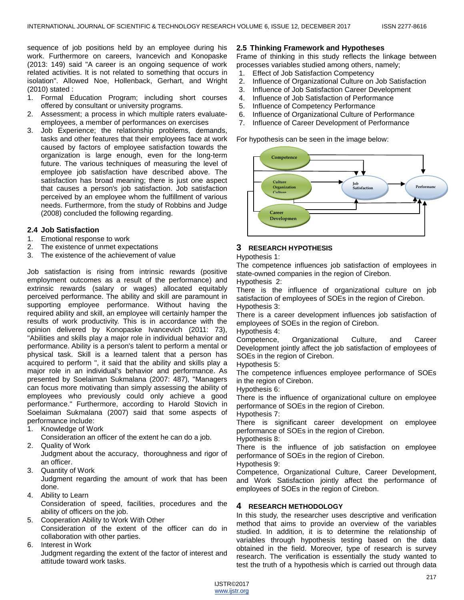sequence of job positions held by an employee during his work. Furthermore on careers, Ivancevich and Konopaske (2013: 149) said "A career is an ongoing sequence of work related activities. It is not related to something that occurs in isolation". Allowed Noe, Hollenback, Gerhart, and Wright (2010) stated :

- 1. Formal Education Program; including short courses offered by consultant or university programs.
- 2. Assessment; a process in which multiple raters evaluateemployees, a member of performances on exercises
- 3. Job Experience; the relationship problems, demands, tasks and other features that their employees face at work caused by factors of employee satisfaction towards the organization is large enough, even for the long-term future. The various techniques of measuring the level of employee job satisfaction have described above. The satisfaction has broad meaning; there is just one aspect that causes a person's job satisfaction. Job satisfaction perceived by an employee whom the fulfillment of various needs. Furthermore, from the study of Robbins and Judge (2008) concluded the following regarding.

# **2.4 Job Satisfaction**

- 1. Emotional response to work
- 2. The existence of unmet expectations
- 3. The existence of the achievement of value

Job satisfaction is rising from intrinsic rewards (positive employment outcomes as a result of the performance) and extrinsic rewards (salary or wages) allocated equitably perceived performance. The ability and skill are paramount in supporting employee performance. Without having the required ability and skill, an employee will certainly hamper the results of work productivity. This is in accordance with the opinion delivered by Konopaske Ivancevich (2011: 73), "Abilities and skills play a major role in individual behavior and performance. Ability is a person's talent to perform a mental or physical task. Skill is a learned talent that a person has acquired to perform ", it said that the ability and skills play a major role in an individual's behavior and performance. As presented by Soelaiman Sukmalana (2007: 487), "Managers can focus more motivating than simply assessing the ability of employees who previously could only achieve a good performance." Furthermore, according to Harold Stovich in Soelaiman Sukmalana (2007) said that some aspects of performance include:

- 1. Knowledge of Work
- Consideration an officer of the extent he can do a job.
- 2. Quality of Work

Judgment about the accuracy, thoroughness and rigor of an officer.

3. Quantity of Work

Judgment regarding the amount of work that has been done.

- 4. Ability to Learn Consideration of speed, facilities, procedures and the ability of officers on the job.
- 5. Cooperation Ability to Work With Other Consideration of the extent of the officer can do in collaboration with other parties.
- 6. Interest in Work

Judgment regarding the extent of the factor of interest and attitude toward work tasks.

# **2.5 Thinking Framework and Hypotheses**

Frame of thinking in this study reflects the linkage between processes variables studied among others, namely;

- 1. Effect of Job Satisfaction Competency
- 2. Influence of Organizational Culture on Job Satisfaction
- 3. Influence of Job Satisfaction Career Development
- 4. Influence of Job Satisfaction of Performance
- 5. Influence of Competency Performance
- 6. Influence of Organizational Culture of Performance
- 7. Influence of Career Development of Performance

For hypothesis can be seen in the image below:



# **3 RESEARCH HYPOTHESIS**

# Hypothesis 1:

The competence influences job satisfaction of employees in state-owned companies in the region of Cirebon.

Hypothesis 2:

There is the influence of organizational culture on job satisfaction of employees of SOEs in the region of Cirebon. Hypothesis 3:

There is a career development influences job satisfaction of employees of SOEs in the region of Cirebon.

Hypothesis 4:

Competence, Organizational Culture, and Career Development jointly affect the job satisfaction of employees of SOEs in the region of Cirebon.

Hypothesis 5:

The competence influences employee performance of SOEs in the region of Cirebon.

Hypothesis 6:

There is the influence of organizational culture on employee performance of SOEs in the region of Cirebon.

Hypothesis 7:

There is significant career development on employee performance of SOEs in the region of Cirebon.

Hypothesis 8:

There is the influence of job satisfaction on employee performance of SOEs in the region of Cirebon.

Hypothesis 9:

Competence, Organizational Culture, Career Development, and Work Satisfaction jointly affect the performance of employees of SOEs in the region of Cirebon.

# **4 RESEARCH METHODOLOGY**

In this study, the researcher uses descriptive and verification method that aims to provide an overview of the variables studied. In addition, it is to determine the relationship of variables through hypothesis testing based on the data obtained in the field. Moreover, type of research is survey research. The verification is essentially the study wanted to test the truth of a hypothesis which is carried out through data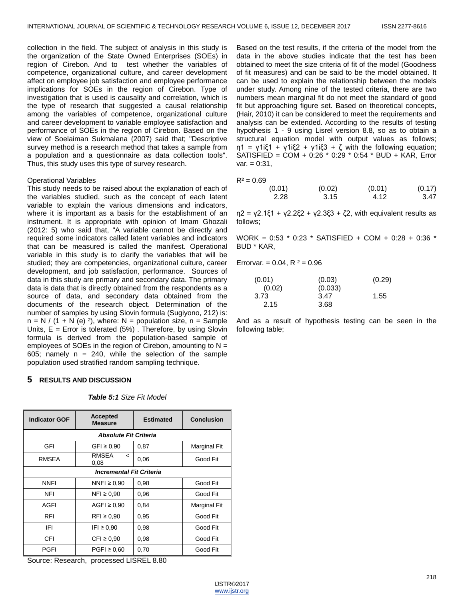collection in the field. The subject of analysis in this study is the organization of the State Owned Enterprises (SOEs) in region of Cirebon. And to test whether the variables of competence, organizational culture, and career development affect on employee job satisfaction and employee performance implications for SOEs in the region of Cirebon. Type of investigation that is used is causality and correlation, which is the type of research that suggested a causal relationship among the variables of competence, organizational culture and career development to variable employee satisfaction and performance of SOEs in the region of Cirebon. Based on the view of Soelaiman Sukmalana (2007) said that; "Descriptive survey method is a research method that takes a sample from a population and a questionnaire as data collection tools". Thus, this study uses this type of survey research.

#### Operational Variables

This study needs to be raised about the explanation of each of the variables studied, such as the concept of each latent variable to explain the various dimensions and indicators, where it is important as a basis for the establishment of an instrument. It is appropriate with opinion of Imam Ghozali (2012: 5) who said that, "A variable cannot be directly and required some indicators called latent variables and indicators that can be measured is called the manifest. Operational variable in this study is to clarify the variables that will be studied; they are competencies, organizational culture, career development, and job satisfaction, performance. Sources of data in this study are primary and secondary data. The primary data is data that is directly obtained from the respondents as a source of data, and secondary data obtained from the documents of the research object. Determination of the number of samples by using Slovin formula (Sugiyono, 212) is:  $n = N / (1 + N (e) 2)$ , where: N = population size, n = Sample Units,  $E =$  Error is tolerated (5%). Therefore, by using Slovin formula is derived from the population-based sample of employees of SOEs in the region of Cirebon, amounting to  $N =$ 605; namely  $n = 240$ , while the selection of the sample population used stratified random sampling technique.

## **5 RESULTS AND DISCUSSION**

## *Table 5:1 Size Fit Model*

| <b>Indicator GOF</b>            | <b>Accepted</b><br><b>Measure</b>                | <b>Estimated</b> | <b>Conclusion</b> |  |
|---------------------------------|--------------------------------------------------|------------------|-------------------|--|
| <b>Absolute Fit Criteria</b>    |                                                  |                  |                   |  |
| GFI                             | GFI $\geq 0.90$                                  | 0.87             | Marginal Fit      |  |
| RMSEA                           | <b>RMSEA</b><br>$\overline{\phantom{a}}$<br>0,08 | 0,06             | Good Fit          |  |
| <b>Incremental Fit Criteria</b> |                                                  |                  |                   |  |
| <b>NNFI</b>                     | NNFI $\geq 0.90$                                 | 0,98             | Good Fit          |  |
| <b>NFI</b>                      | $NFI \geq 0.90$                                  | 0,96             | Good Fit          |  |
| AGFI                            | $AGFI \geq 0.90$                                 | 0,84             | Marginal Fit      |  |
| <b>RFI</b>                      | $RFI \geq 0.90$                                  | 0,95             | Good Fit          |  |
| IFI                             | $IFI \ge 0.90$                                   | 0,98             | Good Fit          |  |
| CFI                             | $CFI \geq 0.90$                                  | 0,98             | Good Fit          |  |
| PGFI                            | $PGF1 \geq 0.60$                                 | 0,70             | Good Fit          |  |

Source: Research, processed LISREL 8.80

Based on the test results, if the criteria of the model from the data in the above studies indicate that the test has been obtained to meet the size criteria of fit of the model (Goodness of fit measures) and can be said to be the model obtained. It can be used to explain the relationship between the models under study. Among nine of the tested criteria, there are two numbers mean marginal fit do not meet the standard of good fit but approaching figure set. Based on theoretical concepts, (Hair, 2010) it can be considered to meet the requirements and analysis can be extended. According to the results of testing hypothesis 1 - 9 using Lisrel version 8.8, so as to obtain a structural equation model with output values as follows;  $η1 = γ1iξ1 + γ1iξ2 + γ1iξ3 + ζ$  with the following equation; SATISFIED = COM + 0:26 \* 0:29 \* 0:54 \* BUD + KAR, Error  $var. = 0:31$ ,

$$
R^2=0.69
$$

| $-0.00$ |        |        |        |
|---------|--------|--------|--------|
| (0.01)  | (0.02) | (0.01) | (0.17) |
| 2.28    | 3.15   | 4.12   | 3.47   |

 $η2 = γ2.1ξ1 + γ2.2ξ2 + γ2.3ξ3 + ζ2$ , with equivalent results as follows;

WORK = 0:53 \* 0:23 \* SATISFIED + COM + 0:28 + 0:36 \* BUD \* KAR,

Errorvar. =  $0.04$ , R  $2 = 0.96$ 

| (0.01) | (0.03)  | (0.29) |
|--------|---------|--------|
| (0.02) | (0.033) |        |
| 3.73   | 3.47    | 1.55   |
| 2.15   | 3.68    |        |

And as a result of hypothesis testing can be seen in the following table;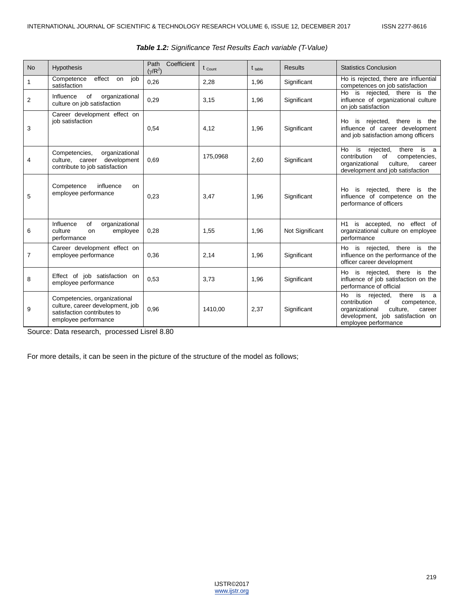| <b>No</b>      | <b>Hypothesis</b>                                                                                                       | Coefficient<br>Path<br>$(\gamma/R^2)$ | $t_{\text{Count}}$ | $t_{table}$ | <b>Results</b>  | <b>Statistics Conclusion</b>                                                                                                                                                         |
|----------------|-------------------------------------------------------------------------------------------------------------------------|---------------------------------------|--------------------|-------------|-----------------|--------------------------------------------------------------------------------------------------------------------------------------------------------------------------------------|
| 1              | Competence<br>effect<br>job<br>on<br>satisfaction                                                                       | 0,26                                  | 2,28               | 1,96        | Significant     | Ho is rejected, there are influential<br>competences on job satisfaction                                                                                                             |
| $\overline{2}$ | Influence<br>of<br>organizational<br>culture on job satisfaction                                                        | 0.29                                  | 3,15               | 1,96        | Significant     | is rejected, there<br>is the<br>Ho<br>influence of organizational culture<br>on job satisfaction                                                                                     |
| 3              | Career development effect on<br>iob satisfaction                                                                        | 0,54                                  | 4,12               | 1,96        | Significant     | is rejected, there is<br>Ho<br>the<br>influence of career development<br>and job satisfaction among officers                                                                         |
| 4              | organizational<br>Competencies,<br>culture, career development<br>contribute to job satisfaction                        | 0.69                                  | 175,0968           | 2,60        | Significant     | rejected,<br>Ho<br>is<br>there<br>is a<br>contribution<br>of<br>competencies,<br>organizational<br>culture,<br>career<br>development and job satisfaction                            |
| 5              | influence<br>Competence<br>on<br>employee performance                                                                   | 0,23                                  | 3,47               | 1,96        | Significant     | rejected, there<br>the<br>Ho<br>is<br>is<br>influence of competence on the<br>performance of officers                                                                                |
| 6              | of<br>organizational<br>Influence<br>culture<br>employee<br>on<br>performance                                           | 0,28                                  | 1,55               | 1,96        | Not Significant | H1 is accepted, no effect of<br>organizational culture on employee<br>performance                                                                                                    |
| 7              | Career development effect on<br>employee performance                                                                    | 0,36                                  | 2,14               | 1,96        | Significant     | is rejected, there is<br>Ho<br>the<br>influence on the performance of the<br>officer career development                                                                              |
| 8              | Effect of job satisfaction on<br>employee performance                                                                   | 0.53                                  | 3,73               | 1,96        | Significant     | is rejected, there is<br>Ho<br>the<br>influence of job satisfaction on the<br>performance of official                                                                                |
| 9              | Competencies, organizational<br>culture, career development, job<br>satisfaction contributes to<br>employee performance | 0,96                                  | 1410.00            | 2,37        | Significant     | rejected,<br>is<br>Ho<br>is<br>there<br>- a<br>contribution<br>of<br>competence,<br>organizational<br>culture,<br>career<br>development, job satisfaction on<br>employee performance |

# *Table 1.2: Significance Test Results Each variable (T-Value)*

Source: Data research, processed Lisrel 8.80

For more details, it can be seen in the picture of the structure of the model as follows;

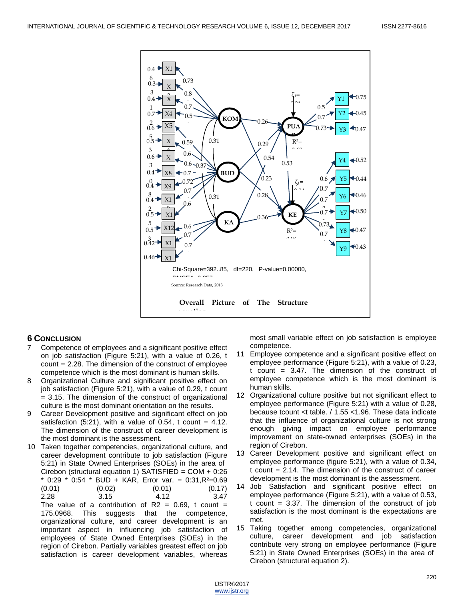

# **6 CONCLUSION**

- 7 Competence of employees and a significant positive effect on job satisfaction (Figure 5:21), with a value of 0.26, t count = 2.28. The dimension of the construct of employee competence which is the most dominant is human skills.
- 8 Organizational Culture and significant positive effect on job satisfaction (Figure 5:21), with a value of 0.29, t count = 3.15. The dimension of the construct of organizational culture is the most dominant orientation on the results.
- 9 Career Development positive and significant effect on job satisfaction  $(5:21)$ , with a value of 0.54, t count = 4.12. The dimension of the construct of career development is the most dominant is the assessment.
- 10 Taken together competencies, organizational culture, and career development contribute to job satisfaction (Figure 5:21) in State Owned Enterprises (SOEs) in the area of Cirebon (structural equation 1) SATISFIED = COM + 0:26  $*$  0:29  $*$  0:54  $*$  BUD + KAR, Error var. = 0:31, R<sup>2</sup>=0.69  $(0.01)$   $(0.02)$   $(0.01)$   $(0.17)$ 2.28 3.15 4.12 3.47 The value of a contribution of  $R2 = 0.69$ , t count = 175.0968. This suggests that the competence, organizational culture, and career development is an important aspect in influencing job satisfaction of employees of State Owned Enterprises (SOEs) in the region of Cirebon. Partially variables greatest effect on job

satisfaction is career development variables, whereas

most small variable effect on job satisfaction is employee competence.

- 11 Employee competence and a significant positive effect on employee performance (Figure 5:21), with a value of 0.23, t count = 3.47. The dimension of the construct of employee competence which is the most dominant is human skills.
- 12 Organizational culture positive but not significant effect to employee performance (Figure 5:21) with a value of 0.28, because tcount <t table. / 1.55 <1.96. These data indicate that the influence of organizational culture is not strong enough giving impact on employee performance improvement on state-owned enterprises (SOEs) in the region of Cirebon.
- 13 Career Development positive and significant effect on employee performance (figure 5:21), with a value of 0.34,  $t$  count = 2.14. The dimension of the construct of career development is the most dominant is the assessment.
- 14 Job Satisfaction and significant positive effect on employee performance (Figure 5:21), with a value of 0.53, t count  $= 3.37$ . The dimension of the construct of job satisfaction is the most dominant is the expectations are met.
- 15 Taking together among competencies, organizational culture, career development and job satisfaction contribute very strong on employee performance (Figure 5:21) in State Owned Enterprises (SOEs) in the area of Cirebon (structural equation 2).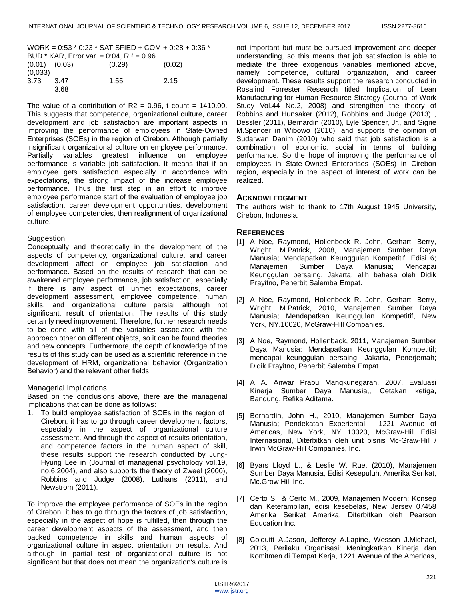|                                            | WORK = $0.53 * 0.23 * SATISFIED + COM + 0.28 + 0.36 *$ |        |        |  |
|--------------------------------------------|--------------------------------------------------------|--------|--------|--|
| BUD * KAR, Error var. = 0:04, R $2 = 0.96$ |                                                        |        |        |  |
| $(0.01)$ $(0.03)$                          |                                                        | (0.29) | (0.02) |  |
| (0,033)                                    |                                                        |        |        |  |
| 3.73                                       | 3.47                                                   | 1.55   | 2.15   |  |
|                                            | 3.68                                                   |        |        |  |

The value of a contribution of  $R2 = 0.96$ , t count = 1410.00. This suggests that competence, organizational culture, career development and job satisfaction are important aspects in improving the performance of employees in State-Owned Enterprises (SOEs) in the region of Cirebon. Although partially insignificant organizational culture on employee performance. Partially variables greatest influence on employee performance is variable job satisfaction. It means that if an employee gets satisfaction especially in accordance with expectations, the strong impact of the increase employee performance. Thus the first step in an effort to improve employee performance start of the evaluation of employee job satisfaction, career development opportunities, development of employee competencies, then realignment of organizational culture.

## Suggestion

Conceptually and theoretically in the development of the aspects of competency, organizational culture, and career development affect on employee job satisfaction and performance. Based on the results of research that can be awakened employee performance, job satisfaction, especially if there is any aspect of unmet expectations, career development assessment, employee competence, human skills, and organizational culture parsial although not significant, result of orientation. The results of this study certainly need improvement. Therefore, further research needs to be done with all of the variables associated with the approach other on different objects, so it can be found theories and new concepts. Furthermore, the depth of knowledge of the results of this study can be used as a scientific reference in the development of HRM, organizational behavior (Organization Behavior) and the relevant other fields.

## Managerial Implications

Based on the conclusions above, there are the managerial implications that can be done as follows:

1. To build employee satisfaction of SOEs in the region of Cirebon, it has to go through career development factors, especially in the aspect of organizational culture assessment. And through the aspect of results orientation, and competence factors in the human aspect of skill, these results support the research conducted by Jung-Hyung Lee in (Journal of managerial psychology vol.19, no.6,2004), and also supports the theory of Zweel (2000), Robbins and Judge (2008), Luthans (2011), and Newstrom (2011).

To improve the employee performance of SOEs in the region of Cirebon, it has to go through the factors of job satisfaction, especially in the aspect of hope is fulfilled, then through the career development aspects of the assessment, and then backed competence in skills and human aspects of organizational culture in aspect orientation on results. And although in partial test of organizational culture is not significant but that does not mean the organization's culture is

not important but must be pursued improvement and deeper understanding, so this means that job satisfaction is able to mediate the three exogenous variables mentioned above, namely competence, cultural organization, and career development. These results support the research conducted in Rosalind Forrester Research titled Implication of Lean Manufacturing for Human Resource Strategy (Journal of Work Study Vol.44 No.2, 2008) and strengthen the theory of Robbins and Hunsaker (2012), Robbins and Judge (2013) , Dessler (2011), Bernardin (2010), Lyle Spencer, Jr., and Signe M.Spencer in Wibowo (2010), and supports the opinion of Sudarwan Danim (2010) who said that job satisfaction is a combination of economic, social in terms of building performance. So the hope of improving the performance of employees in State-Owned Enterprises (SOEs) in Cirebon region, especially in the aspect of interest of work can be realized.

# **ACKNOWLEDGMENT**

The authors wish to thank to 17th August 1945 University, Cirebon, Indonesia.

# **REFERENCES**

- [1] A Noe, Raymond, Hollenbeck R. John, Gerhart, Berry, Wright, M.Patrick, 2008, Manajemen Sumber Daya Manusia; Mendapatkan Keunggulan Kompetitif, Edisi 6; Manajemen Sumber Daya Manusia; Mencapai Keunggulan bersaing, Jakarta, alih bahasa oleh Didik Prayitno, Penerbit Salemba Empat.
- [2] A Noe, Raymond, Hollenbeck R. John, Gerhart, Berry, Wright, M.Patrick, 2010, Manajemen Sumber Daya Manusia; Mendapatkan Keunggulan Kompetitif, New York, NY.10020, McGraw-Hill Companies.
- [3] A Noe, Raymond, Hollenback, 2011, Manajemen Sumber Daya Manusia: Mendapatkan Keunggulan Kompetitif; mencapai keunggulan bersaing, Jakarta, Penerjemah; Didik Prayitno, Penerbit Salemba Empat.
- [4] A A. Anwar Prabu Mangkunegaran, 2007, Evaluasi Kinerja Sumber Daya Manusia,, Cetakan ketiga, Bandung, Refika Aditama.
- [5] Bernardin, John H., 2010, Manajemen Sumber Daya Manusia; Pendekatan Experiental - 1221 Avenue of Americas, New York, NY 10020, McGraw-Hill Edisi Internasional, Diterbitkan oleh unit bisnis Mc-Graw-Hill / Irwin McGraw-Hill Companies, Inc.
- [6] Byars Lloyd L., & Leslie W. Rue, (2010), Manajemen Sumber Daya Manusia, Edisi Kesepuluh, Amerika Serikat, Mc.Grow Hill Inc.
- [7] Certo S., & Certo M., 2009, Manajemen Modern: Konsep dan Keterampilan, edisi kesebelas, New Jersey 07458 Amerika Serikat Amerika, Diterbitkan oleh Pearson Education Inc.
- [8] Colquitt A.Jason, Jefferey A.Lapine, Wesson J.Michael, 2013, Perilaku Organisasi; Meningkatkan Kinerja dan Komitmen di Tempat Kerja, 1221 Avenue of the Americas,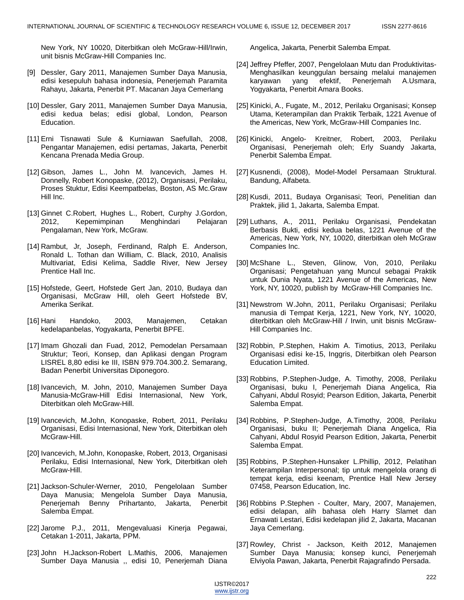New York, NY 10020, Diterbitkan oleh McGraw-Hill/Irwin, unit bisnis McGraw-Hill Companies Inc.

- [9] Dessler, Gary 2011, Manajemen Sumber Daya Manusia, edisi kesepuluh bahasa indonesia, Penerjemah Paramita Rahayu, Jakarta, Penerbit PT. Macanan Jaya Cemerlang
- [10] Dessler, Gary 2011, Manajemen Sumber Daya Manusia, edisi kedua belas; edisi global, London, Pearson Education.
- [11] Erni Tisnawati Sule & Kurniawan Saefullah, 2008, Pengantar Manajemen, edisi pertamas, Jakarta, Penerbit Kencana Prenada Media Group.
- [12] Gibson, James L., John M. Ivancevich, James H. Donnelly, Robert Konopaske, (2012), Organisasi, Perilaku, Proses Stuktur, Edisi Keempatbelas, Boston, AS Mc.Graw Hill Inc.
- [13] Ginnet C.Robert, Hughes L., Robert, Curphy J.Gordon, 2012, Kepemimpinan Menghindari Pelajaran Pengalaman, New York, McGraw.
- [14] Rambut, Jr, Joseph, Ferdinand, Ralph E. Anderson, Ronald L. Tothan dan William, C. Black, 2010, Analisis Multivariat, Edisi Kelima, Saddle River, New Jersey Prentice Hall Inc.
- [15] Hofstede, Geert, Hofstede Gert Jan, 2010, Budaya dan Organisasi, McGraw Hill, oleh Geert Hofstede BV, Amerika Serikat.
- [16] Hani Handoko, 2003, Manajemen, Cetakan kedelapanbelas, Yogyakarta, Penerbit BPFE.
- [17] Imam Ghozali dan Fuad, 2012, Pemodelan Persamaan Struktur; Teori, Konsep, dan Aplikasi dengan Program LISREL 8,80 edisi ke III, ISBN 979.704.300.2. Semarang, Badan Penerbit Universitas Diponegoro.
- [18] Ivancevich, M. John, 2010, Manajemen Sumber Daya Manusia-McGraw-Hill Edisi Internasional, New York, Diterbitkan oleh McGraw-Hill.
- [19] Ivancevich, M.John, Konopaske, Robert, 2011, Perilaku Organisasi, Edisi Internasional, New York, Diterbitkan oleh McGraw-Hill.
- [20] Ivancevich, M.John, Konopaske, Robert, 2013, Organisasi Perilaku, Edisi Internasional, New York, Diterbitkan oleh McGraw-Hill.
- [21] Jackson-Schuler-Werner, 2010, Pengelolaan Sumber Daya Manusia; Mengelola Sumber Daya Manusia, Penerjemah Benny Prihartanto, Jakarta, Penerbit Salemba Empat.
- [22] Jarome P.J., 2011, Mengevaluasi Kinerja Pegawai, Cetakan 1-2011, Jakarta, PPM.
- [23] John H.Jackson-Robert L.Mathis, 2006, Manajemen Sumber Daya Manusia ,, edisi 10, Penerjemah Diana

Angelica, Jakarta, Penerbit Salemba Empat.

- [24] Jeffrey Pfeffer, 2007, Pengelolaan Mutu dan Produktivitas-Menghasilkan keunggulan bersaing melalui manajemen karyawan yang efektif, Penerjemah A.Usmara, Yogyakarta, Penerbit Amara Books.
- [25] Kinicki, A., Fugate, M., 2012, Perilaku Organisasi; Konsep Utama, Keterampilan dan Praktik Terbaik, 1221 Avenue of the Americas, New York, McGraw-Hill Companies Inc.
- [26] Kinicki, Angelo- Kreitner, Robert, 2003, Perilaku Organisasi, Penerjemah oleh; Erly Suandy Jakarta, Penerbit Salemba Empat.
- [27] Kusnendi, (2008), Model-Model Persamaan Struktural. Bandung, Alfabeta.
- [28] Kusdi, 2011, Budaya Organisasi; Teori, Penelitian dan Praktek, jilid 1, Jakarta, Salemba Empat.
- [29] Luthans, A., 2011, Perilaku Organisasi, Pendekatan Berbasis Bukti, edisi kedua belas, 1221 Avenue of the Americas, New York, NY, 10020, diterbitkan oleh McGraw Companies Inc.
- [30] McShane L., Steven, Glinow, Von, 2010, Perilaku Organisasi; Pengetahuan yang Muncul sebagai Praktik untuk Dunia Nyata, 1221 Avenue of the Americas, New York, NY, 10020, publish by McGraw-Hill Companies Inc.
- [31] Newstrom W.John, 2011, Perilaku Organisasi; Perilaku manusia di Tempat Kerja, 1221, New York, NY, 10020, diterbitkan oleh McGraw-Hill / Irwin, unit bisnis McGraw-Hill Companies Inc.
- [32] Robbin, P.Stephen, Hakim A. Timotius, 2013, Perilaku Organisasi edisi ke-15, Inggris, Diterbitkan oleh Pearson Education Limited.
- [33] Robbins, P.Stephen-Judge, A. Timothy, 2008, Perilaku Organisasi, buku I, Penerjemah Diana Angelica, Ria Cahyani, Abdul Rosyid; Pearson Edition, Jakarta, Penerbit Salemba Empat.
- [34] Robbins, P.Stephen-Judge, A.Timothy, 2008, Perilaku Organisasi, buku II; Penerjemah Diana Angelica, Ria Cahyani, Abdul Rosyid Pearson Edition, Jakarta, Penerbit Salemba Empat.
- [35] Robbins, P.Stephen-Hunsaker L.Phillip, 2012, Pelatihan Keterampilan Interpersonal; tip untuk mengelola orang di tempat kerja, edisi keenam, Prentice Hall New Jersey 07458, Pearson Education, Inc.
- [36] Robbins P.Stephen Coulter, Mary, 2007, Manajemen, edisi delapan, alih bahasa oleh Harry Slamet dan Ernawati Lestari, Edisi kedelapan jilid 2, Jakarta, Macanan Jaya Cemerlang.
- [37] Rowley, Christ Jackson, Keith 2012, Manajemen Sumber Daya Manusia; konsep kunci, Penerjemah Elviyola Pawan, Jakarta, Penerbit Rajagrafindo Persada.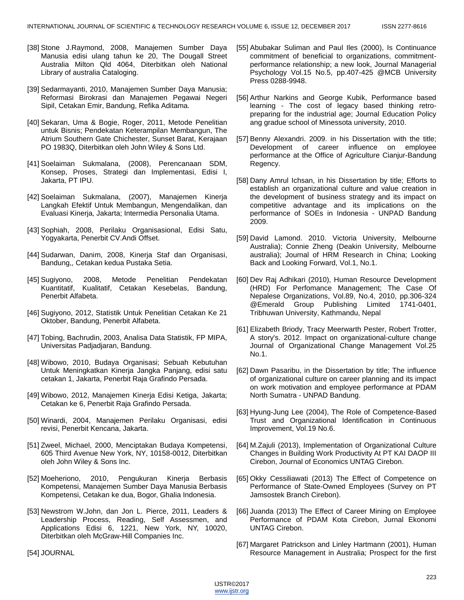- [38] Stone J.Raymond, 2008, Manajemen Sumber Daya Manusia edisi ulang tahun ke 20, The Dougall Street Australia Milton Qld 4064, Diterbitkan oleh National Library of australia Cataloging.
- [39] Sedarmayanti, 2010, Manajemen Sumber Daya Manusia; Reformasi Birokrasi dan Manajemen Pegawai Negeri Sipil, Cetakan Emir, Bandung, Refika Aditama.
- [40] Sekaran, Uma & Bogie, Roger, 2011, Metode Penelitian untuk Bisnis; Pendekatan Keterampilan Membangun, The Atrium Southern Gate Chichester, Sunset Barat, Kerajaan PO 1983Q, Diterbitkan oleh John Wiley & Sons Ltd.
- [41] Soelaiman Sukmalana, (2008), Perencanaan SDM, Konsep, Proses, Strategi dan Implementasi, Edisi I, Jakarta, PT IPU.
- [42] Soelaiman Sukmalana, (2007), Manajemen Kinerja Langkah Efektif Untuk Membangun, Mengendalikan, dan Evaluasi Kinerja, Jakarta; Intermedia Personalia Utama.
- [43] Sophiah, 2008, Perilaku Organisasional, Edisi Satu, Yogyakarta, Penerbit CV.Andi Offset.
- [44] Sudarwan, Danim, 2008, Kinerja Staf dan Organisasi, Bandung,, Cetakan kedua Pustaka Setia.
- [45] Sugiyono, 2008, Metode Penelitian Pendekatan Kuantitatif, Kualitatif, Cetakan Kesebelas, Bandung, Penerbit Alfabeta.
- [46] Sugiyono, 2012, Statistik Untuk Penelitian Cetakan Ke 21 Oktober, Bandung, Penerbit Alfabeta.
- [47] Tobing, Bachrudin, 2003, Analisa Data Statistik, FP MIPA, Universitas Padjadjaran, Bandung.
- [48] Wibowo, 2010, Budaya Organisasi; Sebuah Kebutuhan Untuk Meningkatkan Kinerja Jangka Panjang, edisi satu cetakan 1, Jakarta, Penerbit Raja Grafindo Persada.
- [49] Wibowo, 2012, Manajemen Kinerja Edisi Ketiga, Jakarta; Cetakan ke 6, Penerbit Raja Grafindo Persada.
- [50] Winardi, 2004, Manajemen Perilaku Organisasi, edisi revisi, Penerbit Kencana, Jakarta.
- [51] Zweel, Michael, 2000, Menciptakan Budaya Kompetensi, 605 Third Avenue New York, NY, 10158-0012, Diterbitkan oleh John Wiley & Sons Inc.
- [52] Moeheriono, 2010, Pengukuran Kinerja Berbasis Kompetensi, Manajemen Sumber Daya Manusia Berbasis Kompetensi, Cetakan ke dua, Bogor, Ghalia Indonesia.
- [53] Newstrom W.John, dan Jon L. Pierce, 2011, Leaders & Leadership Process, Reading, Self Assessmen, and Applications Edisi 6, 1221, New York, NY, 10020, Diterbitkan oleh McGraw-Hill Companies Inc.
- [55] Abubakar Suliman and Paul Iles (2000), Is Continuance commitment of beneficial to organizations, commitmentperformance relationship; a new look, Journal Managerial Psychology Vol.15 No.5, pp.407-425 @MCB University Press 0288-9948.
- [56] Arthur Narkins and George Kubik, Performance based learning - The cost of legacy based thinking retropreparing for the industrial age; Journal Education Policy ang gradue school of Minessota university, 2010.
- [57] Benny Alexandri. 2009. in his Dissertation with the title; Development of career influence on employee performance at the Office of Agriculture Cianjur-Bandung Regency.
- [58] Dany Amrul Ichsan, in his Dissertation by title; Efforts to establish an organizational culture and value creation in the development of business strategy and its impact on competitive advantage and its implications on the performance of SOEs in Indonesia - UNPAD Bandung 2009.
- [59] David Lamond. 2010. Victoria University, Melbourne Australia); Connie Zheng (Deakin University, Melbourne australia); Journal of HRM Research in China; Looking Back and Looking Forward, Vol.1, No.1.
- [60] Dev Raj Adhikari (2010), Human Resource Development (HRD) For Perfomance Management; The Case Of Nepalese Organizations, Vol.89, No.4, 2010, pp.306-324 @Emerald Group Publishing Limited 1741-0401, Tribhuwan University, Kathmandu, Nepal
- [61] Elizabeth Briody, Tracy Meerwarth Pester, Robert Trotter, A story's. 2012. Impact on organizational-culture change Journal of Organizational Change Management Vol.25 No.1.
- [62] Dawn Pasaribu, in the Dissertation by title; The influence of organizational culture on career planning and its impact on work motivation and employee performance at PDAM North Sumatra - UNPAD Bandung.
- [63] Hyung-Jung Lee (2004), The Role of Competence-Based Trust and Organizational Identification in Continuous Improvement, Vol.19 No.6.
- [64] M.Zajuli (2013), Implementation of Organizational Culture Changes in Building Work Productivity At PT KAI DAOP III Cirebon, Journal of Economics UNTAG Cirebon.
- [65] Okky Cessiliawati (2013) The Effect of Competence on Performance of State-Owned Employees (Survey on PT Jamsostek Branch Cirebon).
- [66] Juanda (2013) The Effect of Career Mining on Employee Performance of PDAM Kota Cirebon, Jurnal Ekonomi UNTAG Cirebon.
- [67] Margaret Patrickson and Linley Hartmann (2001), Human Resource Management in Australia; Prospect for the first